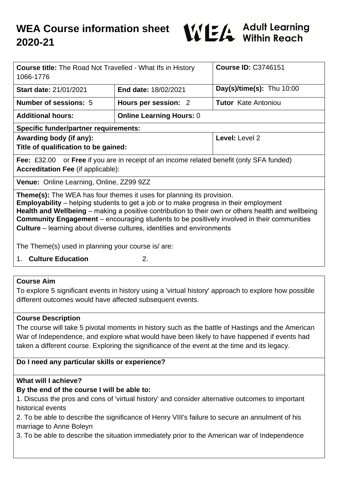

| <b>Course title:</b> The Road Not Travelled - What Ifs in History<br>1066-1776                                                                                                                                                                                                                                                                                                                                                                                          |                                 | <b>Course ID: C3746151</b>  |
|-------------------------------------------------------------------------------------------------------------------------------------------------------------------------------------------------------------------------------------------------------------------------------------------------------------------------------------------------------------------------------------------------------------------------------------------------------------------------|---------------------------------|-----------------------------|
| <b>Start date: 21/01/2021</b>                                                                                                                                                                                                                                                                                                                                                                                                                                           | <b>End date: 18/02/2021</b>     | Day(s)/time(s): Thu $10:00$ |
| Number of sessions: 5                                                                                                                                                                                                                                                                                                                                                                                                                                                   | Hours per session: 2            | <b>Tutor</b> Kate Antoniou  |
| <b>Additional hours:</b>                                                                                                                                                                                                                                                                                                                                                                                                                                                | <b>Online Learning Hours: 0</b> |                             |
| <b>Specific funder/partner requirements:</b>                                                                                                                                                                                                                                                                                                                                                                                                                            |                                 |                             |
| Awarding body (if any):<br>Title of qualification to be gained:                                                                                                                                                                                                                                                                                                                                                                                                         |                                 | Level: Level 2              |
| <b>Fee:</b> £32.00 or <b>Free</b> if you are in receipt of an income related benefit (only SFA funded)<br><b>Accreditation Fee (if applicable):</b>                                                                                                                                                                                                                                                                                                                     |                                 |                             |
| <b>Venue:</b> Online Learning, Online, ZZ99 9ZZ                                                                                                                                                                                                                                                                                                                                                                                                                         |                                 |                             |
| <b>Theme(s):</b> The WEA has four themes it uses for planning its provision.<br><b>Employability</b> – helping students to get a job or to make progress in their employment<br>Health and Wellbeing - making a positive contribution to their own or others health and wellbeing<br><b>Community Engagement</b> – encouraging students to be positively involved in their communities<br><b>Culture</b> – learning about diverse cultures, identities and environments |                                 |                             |
| The Theme(s) used in planning your course is/are:                                                                                                                                                                                                                                                                                                                                                                                                                       |                                 |                             |
| <b>Culture Education</b><br>1.                                                                                                                                                                                                                                                                                                                                                                                                                                          | 2.                              |                             |
|                                                                                                                                                                                                                                                                                                                                                                                                                                                                         |                                 |                             |
| <b>Course Aim</b>                                                                                                                                                                                                                                                                                                                                                                                                                                                       |                                 |                             |

To explore 5 significant events in history using a 'virtual history' approach to explore how possible different outcomes would have affected subsequent events.

## **Course Description**

The course will take 5 pivotal moments in history such as the battle of Hastings and the American War of Independence, and explore what would have been likely to have happened if events had taken a different course. Exploring the significance of the event at the time and its legacy.

# **Do I need any particular skills or experience?**

## **What will I achieve?**

## **By the end of the course I will be able to:**

1. Discuss the pros and cons of 'virtual history' and consider alternative outcomes to important historical events

2. To be able to describe the significance of Henry VIII's failure to secure an annulment of his marriage to Anne Boleyn

3. To be able to describe the situation immediately prior to the American war of Independence